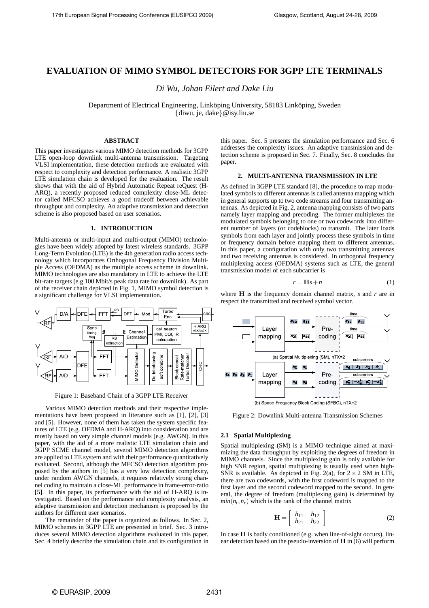# **EVALUATION OF MIMO SYMBOL DETECTORS FOR 3GPP LTE TERMINALS**

*Di Wu, Johan Eilert and Dake Liu*

Department of Electrical Engineering, Linköping University, 58183 Linköping, Sweden {diwu, je, dake}@isy.liu.se

## **ABSTRACT**

This paper investigates various MIMO detection methods for 3GPP LTE open-loop downlink multi-antenna transmission. Targeting VLSI implementation, these detection methods are evaluated with respect to complexity and detection performance. A realistic 3GPP LTE simulation chain is developed for the evaluation. The result shows that with the aid of Hybrid Automatic Repeat reQuest (H-ARQ), a recently proposed reduced complexity close-ML detector called MFCSO achieves a good tradeoff between achievable throughput and complexity. An adaptive transmission and detection scheme is also proposed based on user scenarios.

## **1. INTRODUCTION**

Multi-antenna or multi-input and multi-output (MIMO) technologies have been widely adopted by latest wireless standards. 3GPP Long-Term Evolution (LTE) is the 4th generation radio access technology which incorporates Orthogonal Frequency Division Multiple Access (OFDMA) as the multiple access scheme in downlink. MIMO technologies are also mandatory in LTE to achieve the LTE bit-rate targets (e.g 100 Mbit/s peak data rate for downlink). As part of the receiver chain depicted in Fig. 1, MIMO symbol detection is a significant challenge for VLSI implementation.



Figure 1: Baseband Chain of a 3GPP LTE Receiver

Various MIMO detection methods and their respective implementations have been proposed in literature such as [1], [2], [3] and [5]. However, none of them has taken the system specific features of LTE (e.g. OFDMA and H-ARQ) into consideration and are mostly based on very simple channel models (e.g. AWGN). In this paper, with the aid of a more realistic LTE simulation chain and 3GPP SCME channel model, several MIMO detection algorithms are applied to LTE system and with their performance quantitatively evaluated. Second, although the MFCSO detection algorithm proposed by the authors in [5] has a very low detection complexity, under random AWGN channels, it requires relatively strong channel coding to maintain a close-ML performance in frame-error-ratio [5]. In this paper, its performance with the aid of H-ARQ is investigated. Based on the performance and complexity analysis, an adaptive transmission and detection mechanism is proposed by the authors for different user scenarios.

The remainder of the paper is organized as follows. In Sec. 2, MIMO schemes in 3GPP LTE are presented in brief. Sec. 3 introduces several MIMO detection algorithms evaluated in this paper. Sec. 4 briefly describe the simulation chain and its configuration in this paper. Sec. 5 presents the simulation performance and Sec. 6 addresses the complexity issues. An adaptive transmission and detection scheme is proposed in Sec. 7. Finally, Sec. 8 concludes the paper.

## **2. MULTI-ANTENNA TRANSMISSION IN LTE**

As defined in 3GPP LTE standard [8], the procedure to map modulated symbols to different antennas is called antenna mapping which in general supports up to two code streams and four transmitting antennas. As depicted in Fig. 2, antenna mapping consists of two parts namely layer mapping and precoding. The former multiplexes the modulated symbols belonging to one or two codewords into different number of layers (or codeblocks) to transmit. The later loads symbols from each layer and jointly process these symbols in time or frequency domain before mapping them to different antennas. In this paper, a configuration with only two transmitting antennas and two receiving antennas is considered. In orthogonal frequency multiplexing access (OFDMA) systems such as LTE, the general transmission model of each subcarrier is

$$
r = Hs + n \tag{1}
$$

where H is the frequency domain channel matrix, *s* and *r* are in respect the transmitted and received symbol vector.



Figure 2: Downlink Multi-antenna Transmission Schemes

## **2.1 Spatial Multiplexing**

Spatial multiplexing (SM) is a MIMO technique aimed at maximizing the data throughput by exploiting the degrees of freedom in MIMO channels. Since the multiplexing gain is only available for high SNR region, spatial multiplexing is usually used when high-SNR is available. As depicted in Fig. 2(a), for  $2 \times 2$  SM in LTE, there are two codewords, with the first codeword is mapped to the first layer and the second codeword mapped to the second. In general, the degree of freedom (multiplexing gain) is determined by  $min(n_t, n_r)$  which is the rank of the channel matrix

$$
\mathbf{H} = \left[ \begin{array}{cc} h_{11} & h_{12} \\ h_{21} & h_{22} \end{array} \right] \tag{2}
$$

In case H is badly conditioned (e.g. when line-of-sight occurs), linear detection based on the pseudo-inversion of  $H$  in  $(6)$  will perform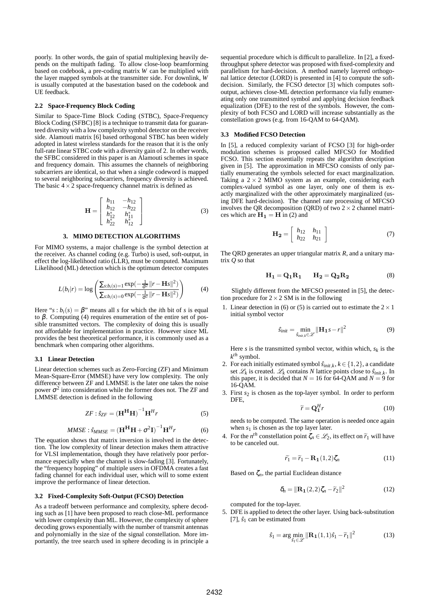poorly. In other words, the gain of spatial multiplexing heavily depends on the multipath fading. To allow close-loop beamforming based on codebook, a pre-coding matrix *W* can be multiplied with the layer mapped symbols at the transmitter side. For downlink, *W* is usually computed at the basestation based on the codebook and UE feedback.

## **2.2 Space-Frequency Block Coding**

Similar to Space-Time Block Coding (STBC), Space-Frequency Block Coding (SFBC) [8] is a technique to transmit data for guaranteed diversity with a low complexity symbol detector on the receiver side. Alamouti matrix [6] based orthogonal STBC has been widely adopted in latest wireless standards for the reason that it is the only full-rate linear STBC code with a diversity gain of 2. In other words, the SFBC considered in this paper is an Alamouti schemes in space and frequency domain. This assumes the channels of neighboring subcarriers are identical, so that when a single codeword is mapped to several neighboring subcarriers, frequency diversity is achieved. The basic  $4 \times 2$  space-frequency channel matrix is defined as

$$
\mathbf{H} = \begin{bmatrix} h_{11} & -h_{12} \\ h_{12} & -h_{22} \\ h_{12}^* & h_{11}^* \\ h_{22}^* & h_{12}^* \end{bmatrix}
$$
 (3)

## **3. MIMO DETECTION ALGORITHMS**

For MIMO systems, a major challenge is the symbol detection at the receiver. As channel coding (e.g. Turbo) is used, soft-output, in effect the log-likelihood ratio (LLR), must be computed. Maximum Likelihood (ML) detection which is the optimum detector computes

$$
L(b_i|r) = \log \left( \frac{\sum_{s:b_i(s)=1} \exp(-\frac{1}{\sigma^2} ||r - \mathbf{H}s||^2)}{\sum_{s:b_i(s)=0} \exp(-\frac{1}{\sigma^2} ||r - \mathbf{H}s||^2)} \right)
$$
(4)

Here " $s : b_i(s) = \beta$ " means all *s* for which the *i*th bit of *s* is equal to β. Computing (4) requires enumeration of the entire set of possible transmitted vectors. The complexity of doing this is usually not affordable for implementation in practice. However since ML provides the best theoretical performance, it is commonly used as a benchmark when comparing other algorithms.

### **3.1 Linear Detection**

Linear detection schemes such as Zero-Forcing (ZF) and Minimum Mean-Square-Error (MMSE) have very low complexity. The only difference between ZF and LMMSE is the later one takes the noise power  $\sigma^2$  into consideration while the former does not. The ZF and LMMSE detection is defined in the following

$$
ZF: \hat{s}_{ZF} = (\mathbf{H}^{\mathbf{H}} \mathbf{H})^{-1} \mathbf{H}^H r
$$
 (5)

$$
MMSE: \hat{s}_{MMSE} = (\mathbf{H}^{\mathbf{H}} \mathbf{H} + \sigma^2 \mathbf{I})^{-1} \mathbf{H}^H r \tag{6}
$$

The equation shows that matrix inversion is involved in the detection. The low complexity of linear detection makes them attractive for VLSI implementation, though they have relatively poor performance especially when the channel is slow-fading [3]. Fortunately, the "frequency hopping" of multiple users in OFDMA creates a fast fading channel for each individual user, which will to some extent improve the performance of linear detection.

## **3.2 Fixed-Complexity Soft-Output (FCSO) Detection**

As a tradeoff between performance and complexity, sphere decoding such as [1] have been proposed to reach close-ML performance with lower complexity than ML. However, the complexity of sphere decoding grows exponentially with the number of transmit antennas and polynomially in the size of the signal constellation. More importantly, the tree search used in sphere decoding is in principle a sequential procedure which is difficult to parallelize. In [2], a fixedthroughput sphere detector was proposed with fixed-complexity and parallelism for hard-decision. A method namely layered orthogonal lattice detector (LORD) is presented in [4] to compute the softdecision. Similarly, the FCSO detector [3] which computes softoutput, achieves close-ML detection performance via fully enumerating only one transmitted symbol and applying decision feedback equalization (DFE) to the rest of the symbols. However, the complexity of both FCSO and LORD will increase substantially as the constellation grows (e.g. from 16-QAM to 64-QAM).

#### **3.3 Modified FCSO Detection**

In [5], a reduced complexity variant of FCSO [3] for high-order modulation schemes is proposed called MFCSO for Modified FCSO. This section essentially repeats the algorithm description given in [5]. The approximation in MFCSO consists of only partially enumerating the symbols selected for exact marginalization. Taking a  $2 \times 2$  MIMO system as an example, considering each complex-valued symbol as one layer, only one of them is exactly marginalized with the other approximately marginalized (using DFE hard-decision). The channel rate processing of MFCSO involves the QR decomposition (QRD) of two  $2 \times 2$  channel matrices which are  $H_1 = H$  in (2) and

$$
\mathbf{H_2} = \left[ \begin{array}{cc} h_{12} & h_{11} \\ h_{22} & h_{21} \end{array} \right] \tag{7}
$$

The QRD generates an upper triangular matrix *R*, and a unitary matrix *Q* so that

$$
\mathbf{H}_1 = \mathbf{Q}_1 \mathbf{R}_1 \qquad \mathbf{H}_2 = \mathbf{Q}_2 \mathbf{R}_2 \tag{8}
$$

Slightly different from the MFCSO presented in [5], the detection procedure for  $2 \times 2$  SM is in the following

1. Linear detection in (6) or (5) is carried out to estimate the  $2 \times 1$ initial symbol vector

$$
\hat{s}_{init} = \min_{\hat{s}_{init,k} \in \mathcal{L}} ||\mathbf{H}_1 s - r||^2 \tag{9}
$$

Here  $s$  is the transmitted symbol vector, within which,  $s_k$  is the *k th* symbol.

- 2. For each initially estimated symbol  $\hat{s}_{init,k}$ ,  $k \in \{1, 2\}$ , a candidate set  $\mathcal{L}_k$  is created.  $\mathcal{L}_k$  contains *N* lattice points close to  $\hat{s}_{init,k}$ . In this paper, it is decided that  $N = 16$  for 64-QAM and  $N = 9$  for 16-QAM.
- 3. First *s*<sup>2</sup> is chosen as the top-layer symbol. In order to perform DFE,

$$
\widetilde{r} = \mathbf{Q}_1^H r \tag{10}
$$

needs to be computed. The same operation is needed once again when  $s_1$  is chosen as the top layer later.

4. For the *n*<sup>th</sup> constellation point  $\zeta_n \in \mathcal{L}_2$ , its effect on  $\widetilde{r}_1$  will have to be canceled out.

$$
\widetilde{r}_1 = \widetilde{r}_1 - \mathbf{R}_1(1,2)\zeta_n \tag{11}
$$

Based on  $\zeta_n$ , the partial Euclidean distance

$$
\delta_n = \|\mathbf{R}_1(2,2)\zeta_n - \widetilde{r}_2\|^2 \tag{12}
$$

computed for the top-layer.

5. DFE is applied to detect the other layer. Using back-substitution [7],  $\hat{s}_1$  can be estimated from

$$
\hat{s}_1 = \arg\min_{\hat{s}_1 \in \mathcal{L}} \|\mathbf{R}_1(1,1)\hat{s}_1 - \widetilde{r}_1\|^2 \tag{13}
$$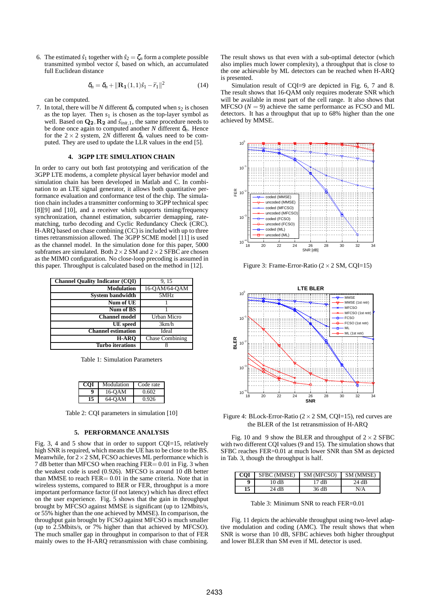6. The estimated  $\hat{s}_1$  together with  $\hat{s}_2 = \zeta_n$  form a complete possible transmitted symbol vector ˆ*s*, based on which, an accumulated full Euclidean distance

$$
\delta_n = \delta_n + ||\mathbf{R}_1(1,1)\hat{s}_1 - \tilde{r}_1||^2 \tag{14}
$$

can be computed.

7. In total, there will be *N* different  $\delta_n$  computed when  $s_2$  is chosen as the top layer. Then *s*<sup>1</sup> is chosen as the top-layer symbol as well. Based on  $\mathbf{Q_2}, \mathbf{R_2}$  and  $\hat{s}_{init,1}$ , the same procedure needs to be done once again to computed another  $N$  different  $\delta_n$ . Hence for the  $2 \times 2$  system, 2*N* different  $\delta_n$  values need to be computed. They are used to update the LLR values in the end [5].

### **4. 3GPP LTE SIMULATION CHAIN**

In order to carry out both fast prototyping and verification of the 3GPP LTE modems, a complete physical layer behavior model and simulation chain has been developed in Matlab and C. In combination to an LTE signal generator, it allows both quantitative performance evaluation and conformance test of the chip. The simulation chain includes a transmitter conforming to 3GPP technical spec [8][9] and [10], and a receiver which supports timing/frequency synchronization, channel estimation, subcarrier demapping, ratematching, turbo decoding and Cyclic Redundancy Check (CRC). H-ARQ based on chase combining (CC) is included with up to three times retransmission allowed. The 3GPP SCME model [11] is used as the channel model. In the simulation done for this paper, 5000 subframes are simulated. Both  $2 \times 2$  SM and  $2 \times 2$  SFBC are chosen as the MIMO configuration. No close-loop precoding is assumed in this paper. Throughput is calculated based on the method in [12].

| <b>Channel Quality Indicator (COI)</b> | 9, 15              |
|----------------------------------------|--------------------|
| <b>Modulation</b>                      | 16-QAM/64-QAM      |
| <b>System bandwidth</b>                | 5MHz               |
| Num of UE                              |                    |
| Num of BS                              |                    |
| <b>Channel model</b>                   | <b>Urban Micro</b> |
| <b>UE</b> speed                        | 3km/h              |
| <b>Channel estimation</b>              | Ideal              |
| <b>H-ARO</b>                           | Chase Combining    |
| <b>Turbo</b> iterations                |                    |

Table 1: Simulation Parameters

| COI | Modulation | Code rate |
|-----|------------|-----------|
|     | 16-OAM     | 0.602     |
| 15  | 64-0AM     | 0.926     |

Table 2: CQI parameters in simulation [10]

## **5. PERFORMANCE ANALYSIS**

Fig. 3, 4 and 5 show that in order to support CQI=15, relatively high SNR is required, which means the UE has to be close to the BS. Meanwhile, for  $2 \times 2$  SM, FCSO achieves ML performance which is 7 dB better than MFCSO when reaching FER= 0.01 in Fig. 3 when the weakest code is used (0.926). MFCSO is around 10 dB better than MMSE to reach FER= 0.01 in the same criteria. Note that in wireless systems, compared to BER or FER, throughput is a more important performance factor (if not latency) which has direct effect on the user experience. Fig. 5 shows that the gain in throughput brought by MFCSO against MMSE is significant (up to 12Mbits/s, or 55% higher than the one achieved by MMSE). In comparison, the throughput gain brought by FCSO against MFCSO is much smaller (up to 2.5Mbits/s, or 7% higher than that achieved by MFCSO). The much smaller gap in throughput in comparison to that of FER mainly owes to the H-ARQ retransmission with chase combining.

The result shows us that even with a sub-optimal detector (which also implies much lower complexity), a throughput that is close to the one achievable by ML detectors can be reached when H-ARQ is presented.

Simulation result of CQI=9 are depicted in Fig. 6, 7 and 8. The result shows that 16-QAM only requires moderate SNR which will be available in most part of the cell range. It also shows that  $MFCSO (N = 9)$  achieve the same performance as  $FCSO$  and  $ML$ detectors. It has a throughput that up to 68% higher than the one achieved by MMSE.



Figure 3: Frame-Error-Ratio  $(2 \times 2 \text{ SM}, \text{COI} = 15)$ 



Figure 4: BLock-Error-Ratio  $(2 \times 2 \text{ SM}, \text{CQI} = 15)$ , red curves are the BLER of the 1st retransmission of H-ARQ

Fig. 10 and 9 show the BLER and throughput of  $2 \times 2$  SFBC with two different CQI values (9 and 15). The simulation shows that SFBC reaches FER=0.01 at much lower SNR than SM as depicted in Tab. 3, though the throughput is half.

| COI | SFBC (MMSE) | SM (MFCSO) | SM (MMSE) |
|-----|-------------|------------|-----------|
| a   | 10 dB       | ' 7 dB     | 24 dB     |
| 15  | 24 dB       | 36 dB      | N/A       |

Table 3: Minimum SNR to reach FER=0.01

Fig. 11 depicts the achievable throughput using two-level adaptive modulation and coding (AMC). The result shows that when SNR is worse than 10 dB, SFBC achieves both higher throughput and lower BLER than SM even if ML detector is used.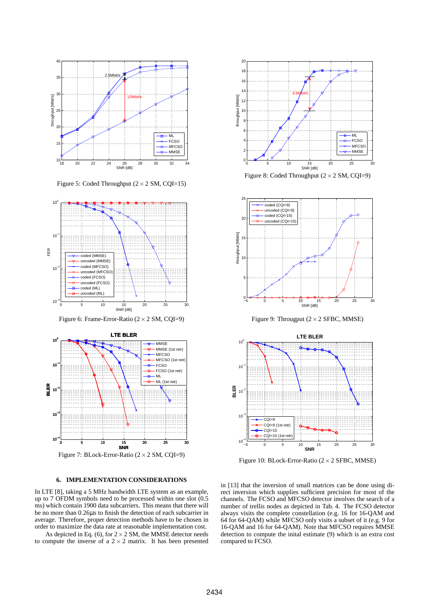

Figure 5: Coded Throughput  $(2 \times 2 \text{ SM}, \text{CQI=15})$ 



Figure 6: Frame-Error-Ratio (2×2 SM, CQI=9)



## **6. IMPLEMENTATION CONSIDERATIONS**

In LTE [8], taking a 5 MHz bandwidth LTE system as an example, up to 7 OFDM symbols need to be processed within one slot (0.5 ms) which contain 1900 data subcarriers. This means that there will be no more than 0.26µ*s* to finish the detection of each subcarrier in average. Therefore, proper detection methods have to be chosen in order to maximize the data rate at reasonable implementation cost.

As depicted in Eq. (6), for  $2 \times 2$  SM, the MMSE detector needs to compute the inverse of a  $2 \times 2$  matrix. It has been presented



Figure 8: Coded Throughput  $(2 \times 2 \text{ SM}, \text{CQI=9})$ 



Figure 9: Througput  $(2 \times 2$  SFBC, MMSE)



Figure 10: BLock-Error-Ratio (2×2 SFBC, MMSE)

in [13] that the inversion of small matrices can be done using direct inversion which supplies sufficient precision for most of the channels. The FCSO and MFCSO detector involves the search of a number of trellis nodes as depicted in Tab. 4. The FCSO detector always visits the complete constellation (e.g. 16 for 16-QAM and 64 for 64-QAM) while MFCSO only visits a subset of it (e.g. 9 for 16-QAM and 16 for 64-QAM). Note that MFCSO requires MMSE detection to compute the inital estimate (9) which is an extra cost compared to FCSO.